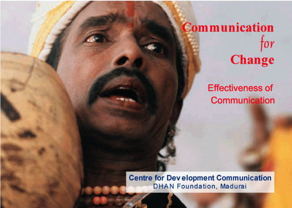# **Communication** for **Change**

## **Effectiveness of** Communication

**Centre for Development Communication DHAN Foundation, Madurai**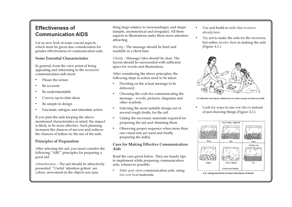### **Effectiveness of Communication AIDS**

Let us now look at some crucial aspects, which must be given due consideration for greater effectiveness of communication aids.

#### **Some Essential Characteristics**

In general, from the view point of being appealing and interesting to the receivers' communication aids must:

- Please the senses
- Be accurate
- Be understandable
- Convey up-to-date ideas
- Be simple in design
- Fascinate, intrigue and stimulate action

If you plan the aids keeping the above mentioned characteristics in mind, the impact is likely to be more effective. Such planning increases the chances of success and reduces the chances of failure in: the use of the aids.

#### **Principles of Preparation**

After selecting the aid, you must consider the following "ABC" principles for preparing a good aid:

Attractiveness - The aid should be attractively presented. "Useful 'attention getters' are colour, movement in the objects size (any

thing large relative to surroundings), and shape (simple, asymmetrical and irregular). All these aspects in illustrations make them more attention attracting.

Brevity - The message should be brief and readable in a short time.

Clarity - Message/idea should be clear. The layout should be surrounded with sufficient space for words and illustrations.

After considering the above principles, the following steps in action need to be taken:

- Deciding on the actual message to be delivered.
- Choosing the code for communicating the message - words, pictures, diagrams and other symbols.
- Selecting the most suitable design out of several rough drafts, for the aid.
- Listing the necessary materials required for preparing the aid and obtaining them.
- Observing proper sequence when more than one visual sets are sued and finally preparing the  $aid(s)$ .

#### **Cues for Making Effective Communication** Aids

Read the cues given below. They are handy tips to implement while preparing communication aids, whenever possible:

Make your own communication aids, using low-cost local materials.

- Use and build-in skills that receivers already have.
- $\bullet$ Try not to make the aids for the receivers, but rather *involve them* in making the aids  $(Figure 4.1.)$



4.1. Educator showing the children how to make a poster on food and healt

Look for ways to use real objects instead of just drawing things (Figure 4.2.)



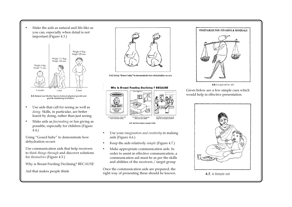Make the aids as natural and life-like as you can, especially when detail is not important (Figure 4.3.)



4.3. Natural and life-like figures to teach physical growth and growth monitoring of children

- Use aids that call for seeing as well as  $\bullet$ doing. Skills, in particular, are better learnt by doing, rather than just seeing.
- Make aids as *fascinating* or fun giving as  $\bullet$ possible, especially for children (Figure  $4.4.$

Using "Gourd baby" to demonstrate how dehydration occurs

Use communication aids that help receivers to think things through and discover solutions for themselves (Figure 4.5.)

Why is Breast Feeding Declining? BECAUSE

Aid that makes people think



4.4. Using "Gourd baby" to demonstrate how dehydration occurs



- Use your *imagination and creativity* in making  $\bullet$ aids (Figure 4.6.)
- Keep the aids relatively *simple* (Figure 4.7.)  $\bullet$
- Make appropriate communication aids. In  $\bullet$ order to assist in effective communication, a communication aid must be as per the skills and abilities of the receivers / target group

Once the communication aids are prepared, the right way of presenting these should be known.



Given below are a few simple cues which would help in effective presentation.



#### 4.7. A Simple aid